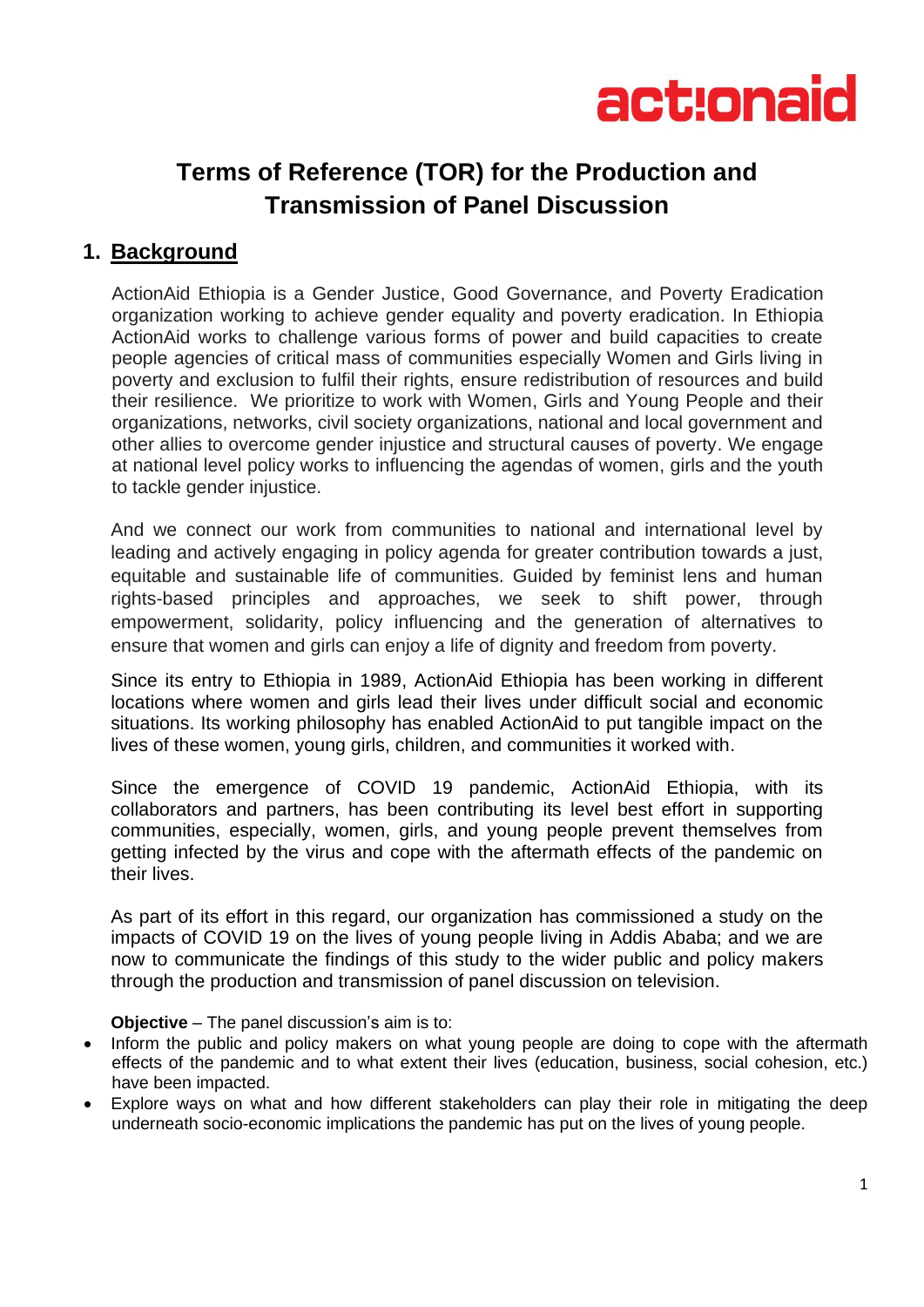

# **Terms of Reference (TOR) for the Production and Transmission of Panel Discussion**

## **1. Background**

ActionAid Ethiopia is a Gender Justice, Good Governance, and Poverty Eradication organization working to achieve gender equality and poverty eradication. In Ethiopia ActionAid works to challenge various forms of power and build capacities to create people agencies of critical mass of communities especially Women and Girls living in poverty and exclusion to fulfil their rights, ensure redistribution of resources and build their resilience. We prioritize to work with Women, Girls and Young People and their organizations, networks, civil society organizations, national and local government and other allies to overcome gender injustice and structural causes of poverty. We engage at national level policy works to influencing the agendas of women, girls and the youth to tackle gender injustice.

And we connect our work from communities to national and international level by leading and actively engaging in policy agenda for greater contribution towards a just, equitable and sustainable life of communities. Guided by feminist lens and human rights-based principles and approaches, we seek to shift power, through empowerment, solidarity, policy influencing and the generation of alternatives to ensure that women and girls can enjoy a life of dignity and freedom from poverty.

Since its entry to Ethiopia in 1989, ActionAid Ethiopia has been working in different locations where women and girls lead their lives under difficult social and economic situations. Its working philosophy has enabled ActionAid to put tangible impact on the lives of these women, young girls, children, and communities it worked with.

Since the emergence of COVID 19 pandemic, ActionAid Ethiopia, with its collaborators and partners, has been contributing its level best effort in supporting communities, especially, women, girls, and young people prevent themselves from getting infected by the virus and cope with the aftermath effects of the pandemic on their lives.

As part of its effort in this regard, our organization has commissioned a study on the impacts of COVID 19 on the lives of young people living in Addis Ababa; and we are now to communicate the findings of this study to the wider public and policy makers through the production and transmission of panel discussion on television.

**Objective** – The panel discussion's aim is to:

- Inform the public and policy makers on what young people are doing to cope with the aftermath effects of the pandemic and to what extent their lives (education, business, social cohesion, etc.) have been impacted.
- Explore ways on what and how different stakeholders can play their role in mitigating the deep underneath socio-economic implications the pandemic has put on the lives of young people.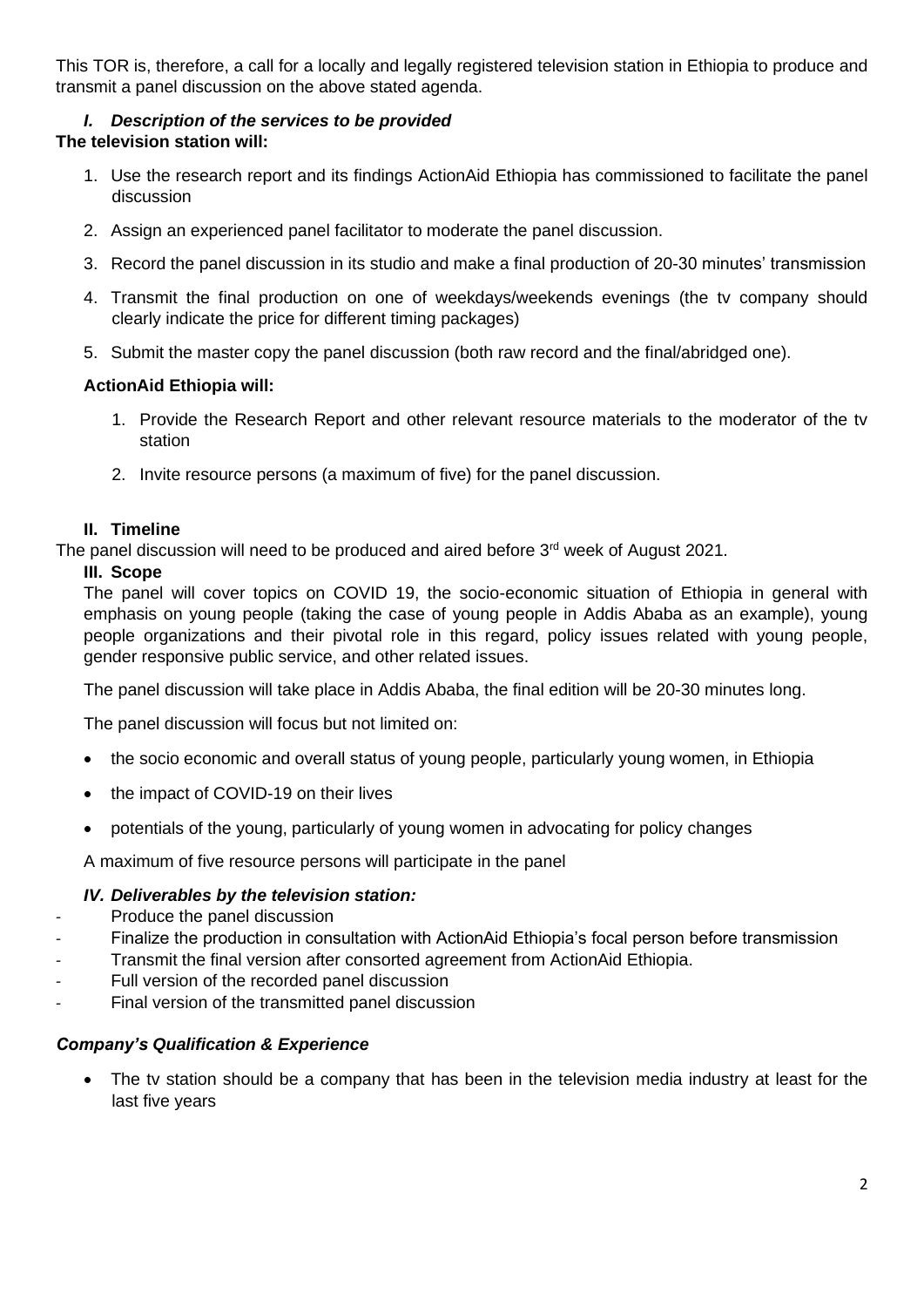This TOR is, therefore, a call for a locally and legally registered television station in Ethiopia to produce and transmit a panel discussion on the above stated agenda.

#### *I. Description of the services to be provided*  **The television station will:**

- 1. Use the research report and its findings ActionAid Ethiopia has commissioned to facilitate the panel discussion
- 2. Assign an experienced panel facilitator to moderate the panel discussion.
- 3. Record the panel discussion in its studio and make a final production of 20-30 minutes' transmission
- 4. Transmit the final production on one of weekdays/weekends evenings (the tv company should clearly indicate the price for different timing packages)
- 5. Submit the master copy the panel discussion (both raw record and the final/abridged one).

### **ActionAid Ethiopia will:**

- 1. Provide the Research Report and other relevant resource materials to the moderator of the tv station
- 2. Invite resource persons (a maximum of five) for the panel discussion.

#### **II. Timeline**

The panel discussion will need to be produced and aired before 3<sup>rd</sup> week of August 2021.

#### **III. Scope**

The panel will cover topics on COVID 19, the socio-economic situation of Ethiopia in general with emphasis on young people (taking the case of young people in Addis Ababa as an example), young people organizations and their pivotal role in this regard, policy issues related with young people, gender responsive public service, and other related issues.

The panel discussion will take place in Addis Ababa, the final edition will be 20-30 minutes long.

The panel discussion will focus but not limited on:

- the socio economic and overall status of young people, particularly young women, in Ethiopia
- the impact of COVID-19 on their lives
- potentials of the young, particularly of young women in advocating for policy changes

A maximum of five resource persons will participate in the panel

#### *IV. Deliverables by the television station:*

- *-* Produce the panel discussion
- *-* Finalize the production in consultation with ActionAid Ethiopia's focal person before transmission
- *-* Transmit the final version after consorted agreement from ActionAid Ethiopia.
- Full version of the recorded panel discussion
- *-* Final version of the transmitted panel discussion

#### *Company's Qualification & Experience*

The tv station should be a company that has been in the television media industry at least for the last five years